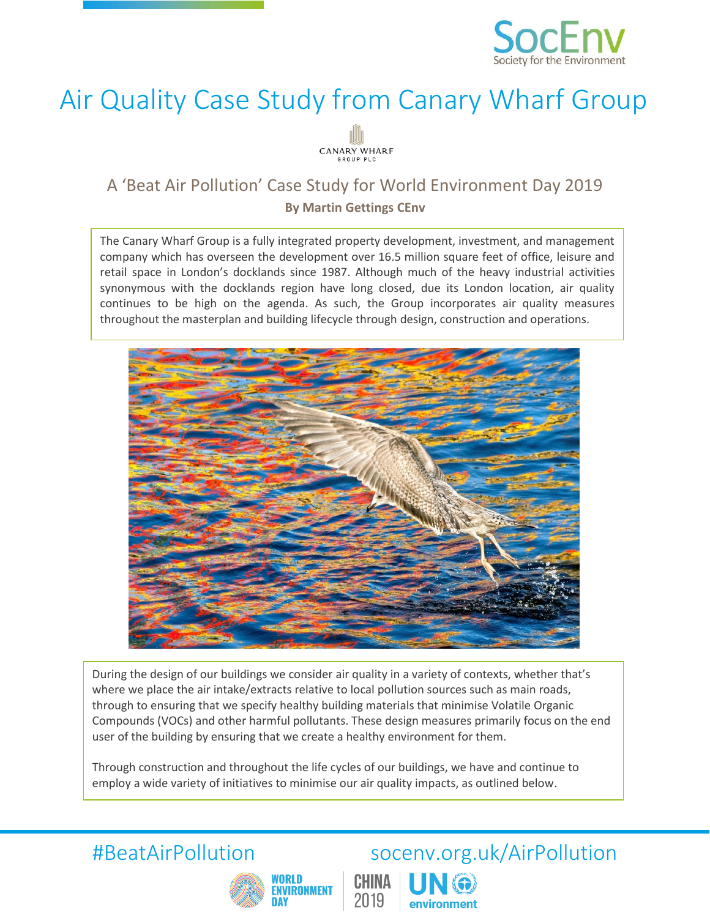

## Air Quality Case Study from Canary Wharf Group



# A 'Beat Air Pollution' Case Study for World Environment Day 2019<br>By Martin Gettings CEnv

The Canary Wharf Group is a fully integrated property development, investment, and management company which has overseen the development over 16.5 million square feet of office, leisure and retail space in London's docklands since 1987. Although much of the heavy industrial activities synonymous with the docklands region have long closed, due its London location, air quality continues to be high on the agenda. As such, the Group incorporates air quality measures throughout the masterplan and building lifecycle through design, construction and operations.



During the design of our buildings we consider air quality in a variety of contexts, whether that's where we place the air intake/extracts relative to local pollution sources such as main roads, through to ensuring that we specify healthy building materials that minimise Volatile Organic Compounds (VOCs) and other harmful pollutants. These design measures primarily focus on the end user of the building by ensuring that we create a healthy environment for them.

CHINA

2019

Through construction and throughout the life cycles of our buildings, we have and continue to employ a wide variety of initiatives to minimise our air quality impacts, as outlined below.



## #BeatAirPollution socenv.org.uk/AirPollution

environment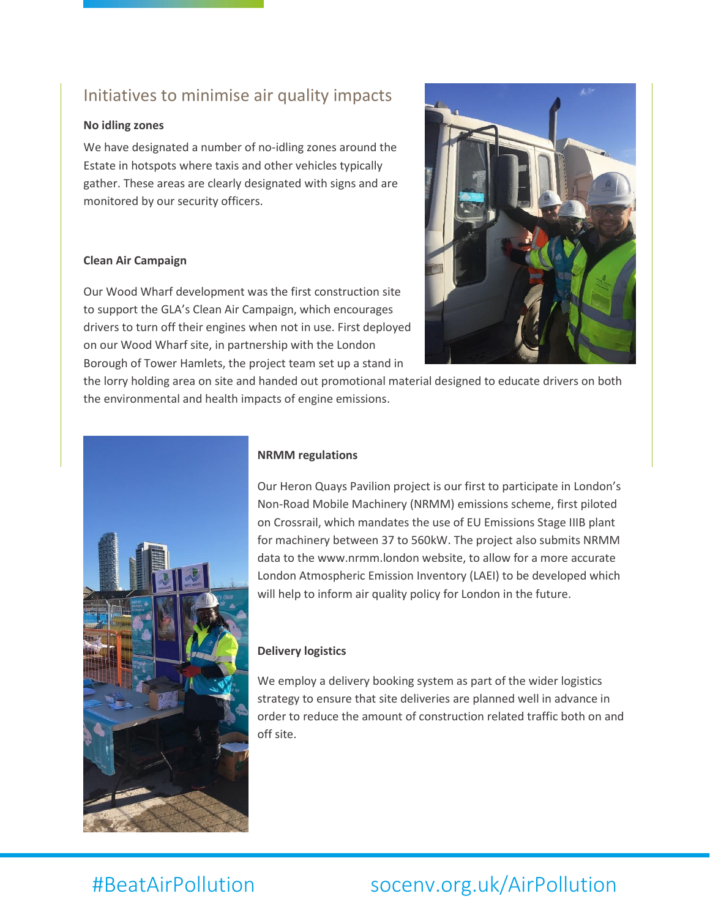### Initiatives to minimise air quality impacts

#### **No idling zones**

We have designated a number of no-idling zones around the Estate in hotspots where taxis and other vehicles typically gather. These areas are clearly designated with signs and are monitored by our security officers.

#### **Clean Air Campaign**

Our Wood Wharf development was the first construction site to support the GLA's Clean Air Campaign, which encourages drivers to turn off their engines when not in use. First deployed on our Wood Wharf site, in partnership with the London Borough of Tower Hamlets, the project team set up a stand in



the lorry holding area on site and handed out promotional material designed to educate drivers on both the environmental and health impacts of engine emissions.



### **NRMM regulations**

Our Heron Quays Pavilion project is our first to participate in London's Non-Road Mobile Machinery (NRMM) emissions scheme, first piloted on Crossrail, which mandates the use of EU Emissions Stage IIIB plant for machinery between 37 to 560kW. The project also submits NRMM data to the www.nrmm.london website, to allow for a more accurate London Atmospheric Emission Inventory (LAEI) to be developed which will help to inform air quality policy for London in the future.

#### **Delivery logistics**

We employ a delivery booking system as part of the wider logistics strategy to ensure that site deliveries are planned well in advance in order to reduce the amount of construction related traffic both on and off site.

### #BeatAirPollution socenv.org.uk/AirPollution